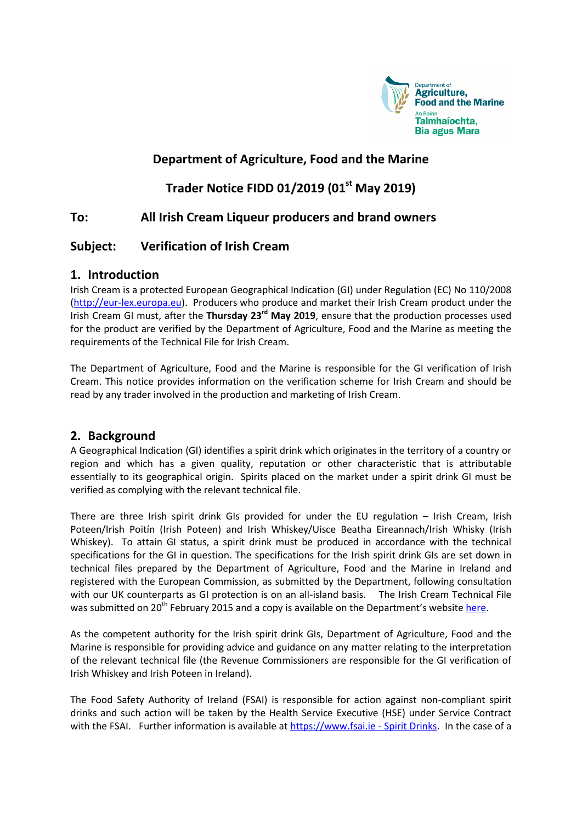

## **Department of Agriculture, Food and the Marine**

# **Trader Notice FIDD 01/2019 (01st May 2019)**

### **To: All Irish Cream Liqueur producers and brand owners**

### **Subject: Verification of Irish Cream**

#### **1. Introduction**

Irish Cream is a protected European Geographical Indication (GI) under Regulation (EC) No 110/2008 [\(http://eur-lex.europa.eu\)](http://eur-lex.europa.eu/legal-content/EN/TXT/PDF/?uri=CELEX:32008R0110&from=EN). Producers who produce and market their Irish Cream product under the Irish Cream GI must, after the **Thursday 23rd May 2019**, ensure that the production processes used for the product are verified by the Department of Agriculture, Food and the Marine as meeting the requirements of the Technical File for Irish Cream.

The Department of Agriculture, Food and the Marine is responsible for the GI verification of Irish Cream. This notice provides information on the verification scheme for Irish Cream and should be read by any trader involved in the production and marketing of Irish Cream.

#### **2. Background**

A Geographical Indication (GI) identifies a spirit drink which originates in the territory of a country or region and which has a given quality, reputation or other characteristic that is attributable essentially to its geographical origin. Spirits placed on the market under a spirit drink GI must be verified as complying with the relevant technical file.

There are three Irish spirit drink GIs provided for under the EU regulation – Irish Cream, Irish Poteen/Irish Poitín (Irish Poteen) and Irish Whiskey/Uisce Beatha Eireannach/Irish Whisky (Irish Whiskey). To attain GI status, a spirit drink must be produced in accordance with the technical specifications for the GI in question. The specifications for the Irish spirit drink GIs are set down in technical files prepared by the Department of Agriculture, Food and the Marine in Ireland and registered with the European Commission, as submitted by the Department, following consultation with our UK counterparts as GI protection is on an all-island basis. The Irish Cream Technical File was submitted on 20<sup>th</sup> February 2015 and a copy is available on the Department's website [here.](http://www.agriculture.gov.ie/media/migration/foodindustrydevelopmenttrademarkets/geographicalindicationsprotectednames/TechFileIrishCreamLiqueurFINAL180215.pdf)

As the competent authority for the Irish spirit drink GIs, Department of Agriculture, Food and the Marine is responsible for providing advice and guidance on any matter relating to the interpretation of the relevant technical file (the Revenue Commissioners are responsible for the GI verification of Irish Whiskey and Irish Poteen in Ireland).

The Food Safety Authority of Ireland (FSAI) is responsible for action against non-compliant spirit drinks and such action will be taken by the Health Service Executive (HSE) under Service Contract with the FSAI. Further information is available at [https://www.fsai.ie -](https://www.fsai.ie/legislation/food_legislation/food_products_non_animal_origin/spirit_drinks.html) Spirit Drinks. In the case of a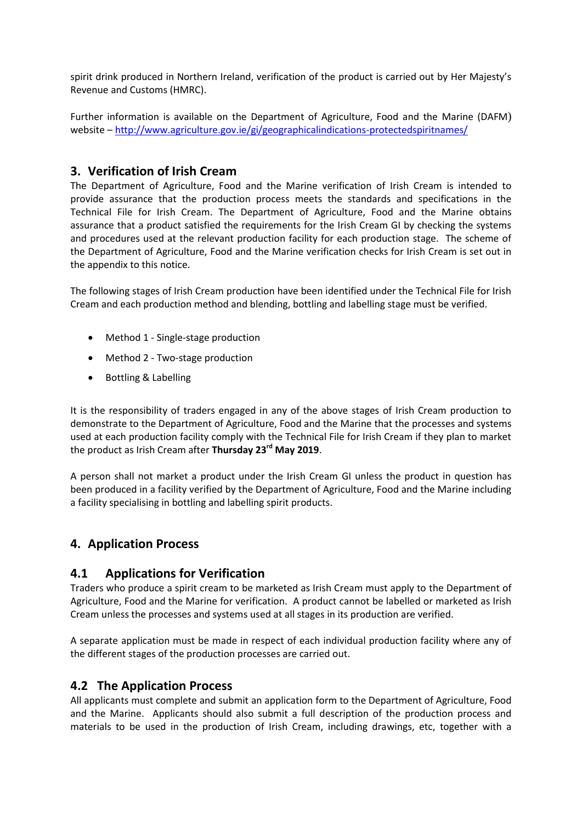spirit drink produced in Northern Ireland, verification of the product is carried out by Her Majesty's Revenue and Customs (HMRC).

Further information is available on the Department of Agriculture, Food and the Marine (DAFM) website – <http://www.agriculture.gov.ie/gi/geographicalindications-protectedspiritnames/>

### **3. Verification of Irish Cream**

The Department of Agriculture, Food and the Marine verification of Irish Cream is intended to provide assurance that the production process meets the standards and specifications in the Technical File for Irish Cream. The Department of Agriculture, Food and the Marine obtains assurance that a product satisfied the requirements for the Irish Cream GI by checking the systems and procedures used at the relevant production facility for each production stage. The scheme of the Department of Agriculture, Food and the Marine verification checks for Irish Cream is set out in the appendix to this notice.

The following stages of Irish Cream production have been identified under the Technical File for Irish Cream and each production method and blending, bottling and labelling stage must be verified.

- Method 1 Single-stage production
- Method 2 Two-stage production
- Bottling & Labelling

It is the responsibility of traders engaged in any of the above stages of Irish Cream production to demonstrate to the Department of Agriculture, Food and the Marine that the processes and systems used at each production facility comply with the Technical File for Irish Cream if they plan to market the product as Irish Cream after **Thursday 23rd May 2019**.

A person shall not market a product under the Irish Cream GI unless the product in question has been produced in a facility verified by the Department of Agriculture, Food and the Marine including a facility specialising in bottling and labelling spirit products.

### **4. Application Process**

### **4.1 Applications for Verification**

Traders who produce a spirit cream to be marketed as Irish Cream must apply to the Department of Agriculture, Food and the Marine for verification. A product cannot be labelled or marketed as Irish Cream unless the processes and systems used at all stages in its production are verified.

A separate application must be made in respect of each individual production facility where any of the different stages of the production processes are carried out.

#### **4.2 The Application Process**

All applicants must complete and submit an application form to the Department of Agriculture, Food and the Marine. Applicants should also submit a full description of the production process and materials to be used in the production of Irish Cream, including drawings, etc, together with a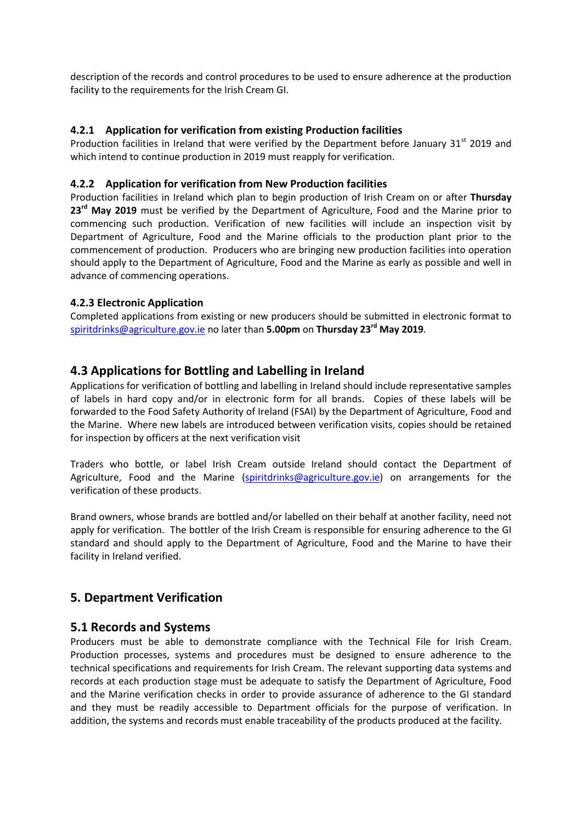description of the records and control procedures to be used to ensure adherence at the production facility to the requirements for the Irish Cream GI.

#### **4.2.1 Application for verification from existing Production facilities**

Production facilities in Ireland that were verified by the Department before January 31<sup>st</sup> 2019 and which intend to continue production in 2019 must reapply for verification.

#### **4.2.2 Application for verification from New Production facilities**

Production facilities in Ireland which plan to begin production of Irish Cream on or after **Thursday 23rd May 2019** must be verified by the Department of Agriculture, Food and the Marine prior to commencing such production. Verification of new facilities will include an inspection visit by Department of Agriculture, Food and the Marine officials to the production plant prior to the commencement of production. Producers who are bringing new production facilities into operation should apply to the Department of Agriculture, Food and the Marine as early as possible and well in advance of commencing operations.

#### **4.2.3 Electronic Application**

Completed applications from existing or new producers should be submitted in electronic format to [spiritdrinks@agriculture.gov.ie](mailto:spiritdrinks@agriculture.gov.ie) no later than **5.00pm** on **Thursday 23rd May 2019**.

### **4.3 Applications for Bottling and Labelling in Ireland**

Applications for verification of bottling and labelling in Ireland should include representative samples of labels in hard copy and/or in electronic form for all brands. Copies of these labels will be forwarded to the Food Safety Authority of Ireland (FSAI) by the Department of Agriculture, Food and the Marine. Where new labels are introduced between verification visits, copies should be retained for inspection by officers at the next verification visit

Traders who bottle, or label Irish Cream outside Ireland should contact the Department of Agriculture, Food and the Marine [\(spiritdrinks@agriculture.gov.ie\)](mailto:spiritdrinks@agriculture.gov.ie) on arrangements for the verification of these products.

Brand owners, whose brands are bottled and/or labelled on their behalf at another facility, need not apply for verification. The bottler of the Irish Cream is responsible for ensuring adherence to the GI standard and should apply to the Department of Agriculture, Food and the Marine to have their facility in Ireland verified.

### **5. Department Verification**

#### **5.1 Records and Systems**

Producers must be able to demonstrate compliance with the Technical File for Irish Cream. Production processes, systems and procedures must be designed to ensure adherence to the technical specifications and requirements for Irish Cream. The relevant supporting data systems and records at each production stage must be adequate to satisfy the Department of Agriculture, Food and the Marine verification checks in order to provide assurance of adherence to the GI standard and they must be readily accessible to Department officials for the purpose of verification. In addition, the systems and records must enable traceability of the products produced at the facility.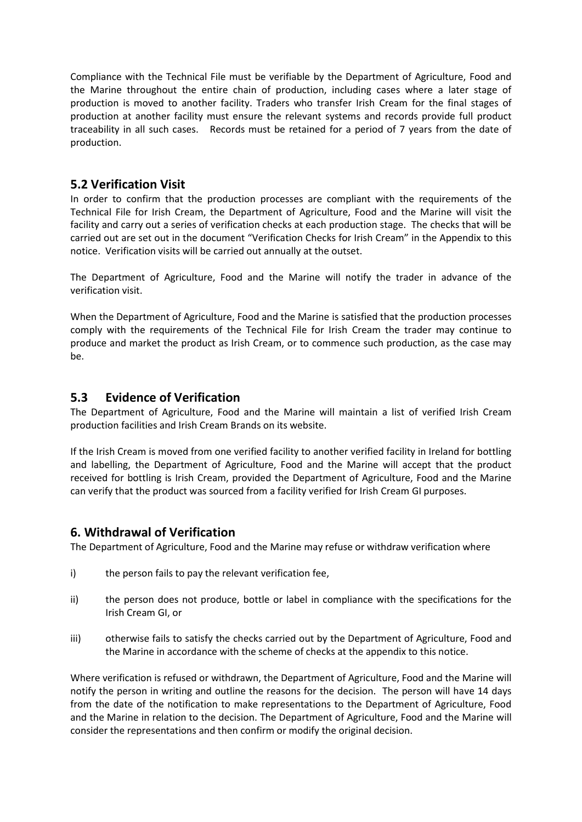Compliance with the Technical File must be verifiable by the Department of Agriculture, Food and the Marine throughout the entire chain of production, including cases where a later stage of production is moved to another facility. Traders who transfer Irish Cream for the final stages of production at another facility must ensure the relevant systems and records provide full product traceability in all such cases. Records must be retained for a period of 7 years from the date of production.

### **5.2 Verification Visit**

In order to confirm that the production processes are compliant with the requirements of the Technical File for Irish Cream, the Department of Agriculture, Food and the Marine will visit the facility and carry out a series of verification checks at each production stage. The checks that will be carried out are set out in the document "Verification Checks for Irish Cream" in the Appendix to this notice. Verification visits will be carried out annually at the outset.

The Department of Agriculture, Food and the Marine will notify the trader in advance of the verification visit.

When the Department of Agriculture, Food and the Marine is satisfied that the production processes comply with the requirements of the Technical File for Irish Cream the trader may continue to produce and market the product as Irish Cream, or to commence such production, as the case may be.

### **5.3 Evidence of Verification**

The Department of Agriculture, Food and the Marine will maintain a list of verified Irish Cream production facilities and Irish Cream Brands on its website.

If the Irish Cream is moved from one verified facility to another verified facility in Ireland for bottling and labelling, the Department of Agriculture, Food and the Marine will accept that the product received for bottling is Irish Cream, provided the Department of Agriculture, Food and the Marine can verify that the product was sourced from a facility verified for Irish Cream GI purposes.

#### **6. Withdrawal of Verification**

The Department of Agriculture, Food and the Marine may refuse or withdraw verification where

- i) the person fails to pay the relevant verification fee,
- ii) the person does not produce, bottle or label in compliance with the specifications for the Irish Cream GI, or
- iii) otherwise fails to satisfy the checks carried out by the Department of Agriculture, Food and the Marine in accordance with the scheme of checks at the appendix to this notice.

Where verification is refused or withdrawn, the Department of Agriculture, Food and the Marine will notify the person in writing and outline the reasons for the decision. The person will have 14 days from the date of the notification to make representations to the Department of Agriculture, Food and the Marine in relation to the decision. The Department of Agriculture, Food and the Marine will consider the representations and then confirm or modify the original decision.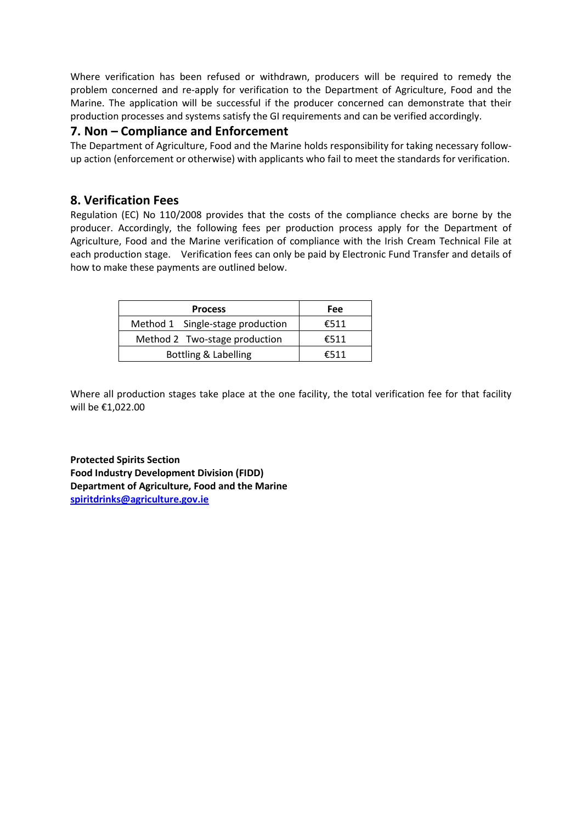Where verification has been refused or withdrawn, producers will be required to remedy the problem concerned and re-apply for verification to the Department of Agriculture, Food and the Marine. The application will be successful if the producer concerned can demonstrate that their production processes and systems satisfy the GI requirements and can be verified accordingly.

#### **7. Non – Compliance and Enforcement**

The Department of Agriculture, Food and the Marine holds responsibility for taking necessary followup action (enforcement or otherwise) with applicants who fail to meet the standards for verification.

### **8. Verification Fees**

Regulation (EC) No 110/2008 provides that the costs of the compliance checks are borne by the producer. Accordingly, the following fees per production process apply for the Department of Agriculture, Food and the Marine verification of compliance with the Irish Cream Technical File at each production stage. Verification fees can only be paid by Electronic Fund Transfer and details of how to make these payments are outlined below.

| <b>Process</b>                   | Fee  |
|----------------------------------|------|
| Method 1 Single-stage production | €511 |
| Method 2 Two-stage production    | €511 |
| Bottling & Labelling             | €511 |

Where all production stages take place at the one facility, the total verification fee for that facility will be €1,022.00

**Protected Spirits Section Food Industry Development Division (FIDD) Department of Agriculture, Food and the Marine [spiritdrinks@agriculture.gov.ie](mailto:spiritdrinks@agriculture.gov.ie)**